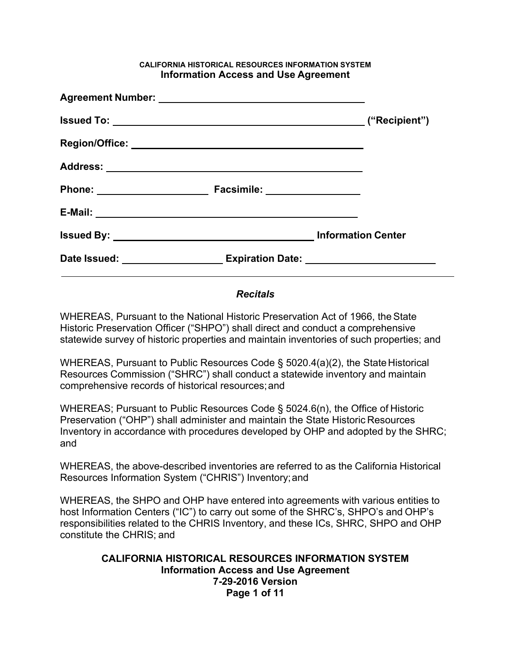#### **CALIFORNIA HISTORICAL RESOURCES INFORMATION SYSTEM Information Access and Use Agreement**

#### *Recitals*

WHEREAS, Pursuant to the National Historic Preservation Act of 1966, the State Historic Preservation Officer ("SHPO") shall direct and conduct a comprehensive statewide survey of historic properties and maintain inventories of such properties; and

WHEREAS, Pursuant to Public Resources Code § 5020.4(a)(2), the State Historical Resources Commission ("SHRC") shall conduct a statewide inventory and maintain comprehensive records of historical resources; and

WHEREAS; Pursuant to Public Resources Code § 5024.6(n), the Office of Historic Preservation ("OHP") shall administer and maintain the State Historic Resources Inventory in accordance with procedures developed by OHP and adopted by the SHRC; and

WHEREAS, the above-described inventories are referred to as the California Historical Resources Information System ("CHRIS") Inventory; and

WHEREAS, the SHPO and OHP have entered into agreements with various entities to host Information Centers ("IC") to carry out some of the SHRC's, SHPO's and OHP's responsibilities related to the CHRIS Inventory, and these ICs, SHRC, SHPO and OHP constitute the CHRIS; and

## **CALIFORNIA HISTORICAL RESOURCES INFORMATION SYSTEM Information Access and Use Agreement 7-29-2016 Version Page 1 of 11**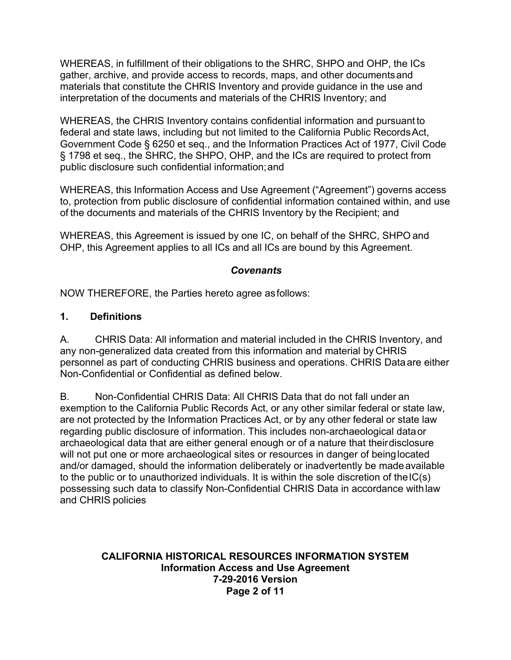WHEREAS, in fulfillment of their obligations to the SHRC, SHPO and OHP, the ICs gather, archive, and provide access to records, maps, and other documents and materials that constitute the CHRIS Inventory and provide guidance in the use and interpretation of the documents and materials of the CHRIS Inventory; and

WHEREAS, the CHRIS Inventory contains confidential information and pursuant to federal and state laws, including but not limited to the California Public Records Act, Government Code § 6250 et seq., and the Information Practices Act of 1977, Civil Code § 1798 et seq., the SHRC, the SHPO, OHP, and the ICs are required to protect from public disclosure such confidential information; and

WHEREAS, this Information Access and Use Agreement ("Agreement") governs access to, protection from public disclosure of confidential information contained within, and use of the documents and materials of the CHRIS Inventory by the Recipient; and

WHEREAS, this Agreement is issued by one IC, on behalf of the SHRC, SHPO and OHP, this Agreement applies to all ICs and all ICs are bound by this Agreement.

## *Covenants*

NOW THEREFORE, the Parties hereto agree as follows:

### **1. Definitions**

A. CHRIS Data: All information and material included in the CHRIS Inventory, and any non-generalized data created from this information and material by CHRIS personnel as part of conducting CHRIS business and operations. CHRIS Dataare either Non-Confidential or Confidential as defined below.

B. Non-Confidential CHRIS Data: All CHRIS Data that do not fall under an exemption to the California Public Records Act, or any other similar federal or state law, are not protected by the Information Practices Act, or by any other federal or state law regarding public disclosure of information. This includes non-archaeological data or archaeological data that are either general enough or of a nature that their disclosure will not put one or more archaeological sites or resources in danger of being located and/or damaged, should the information deliberately or inadvertently be made available to the public or to unauthorized individuals. It is within the sole discretion of the IC(s) possessing such data to classify Non-Confidential CHRIS Data in accordance with law and CHRIS policies

#### **CALIFORNIA HISTORICAL RESOURCES INFORMATION SYSTEM Information Access and Use Agreement 7-29-2016 Version Page 2 of 11**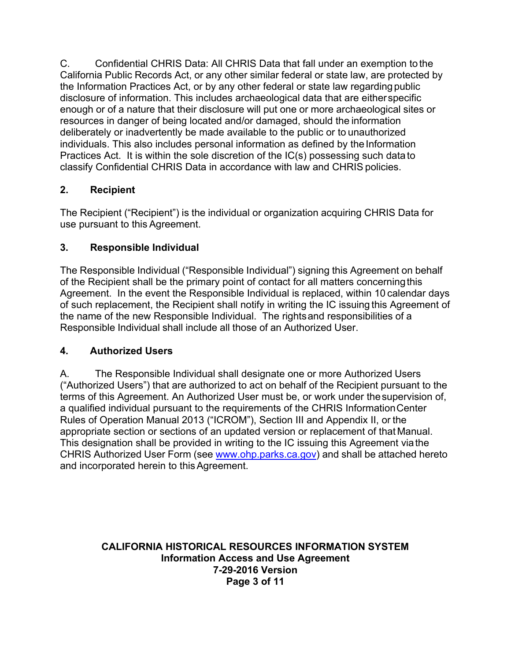C. Confidential CHRIS Data: All CHRIS Data that fall under an exemption to the California Public Records Act, or any other similar federal or state law, are protected by the Information Practices Act, or by any other federal or state law regarding public disclosure of information. This includes archaeological data that are either specific enough or of a nature that their disclosure will put one or more archaeological sites or resources in danger of being located and/or damaged, should the information deliberately or inadvertently be made available to the public or to unauthorized individuals. This also includes personal information as defined by the Information Practices Act. It is within the sole discretion of the IC(s) possessing such data to classify Confidential CHRIS Data in accordance with law and CHRIS policies.

## **2. Recipient**

The Recipient ("Recipient") is the individual or organization acquiring CHRIS Data for use pursuant to this Agreement.

## **3. Responsible Individual**

The Responsible Individual ("Responsible Individual") signing this Agreement on behalf of the Recipient shall be the primary point of contact for all matters concerning this Agreement. In the event the Responsible Individual is replaced, within 10 calendar days of such replacement, the Recipient shall notify in writing the IC issuing this Agreement of the name of the new Responsible Individual. The rights and responsibilities of a Responsible Individual shall include all those of an Authorized User.

## **4. Authorized Users**

A. The Responsible Individual shall designate one or more Authorized Users ("Authorized Users") that are authorized to act on behalf of the Recipient pursuant to the terms of this Agreement. An Authorized User must be, or work under the supervision of, a qualified individual pursuant to the requirements of the CHRIS Information Center Rules of Operation Manual 2013 ("ICROM"), Section III and Appendix II, or the appropriate section or sections of an updated version or replacement of that Manual. This designation shall be provided in writing to the IC issuing this Agreement via the CHRIS Authorized User Form (see www.ohp.parks.ca.gov) and shall be attached hereto and incorporated herein to this Agreement.

### **CALIFORNIA HISTORICAL RESOURCES INFORMATION SYSTEM Information Access and Use Agreement 7-29-2016 Version Page 3 of 11**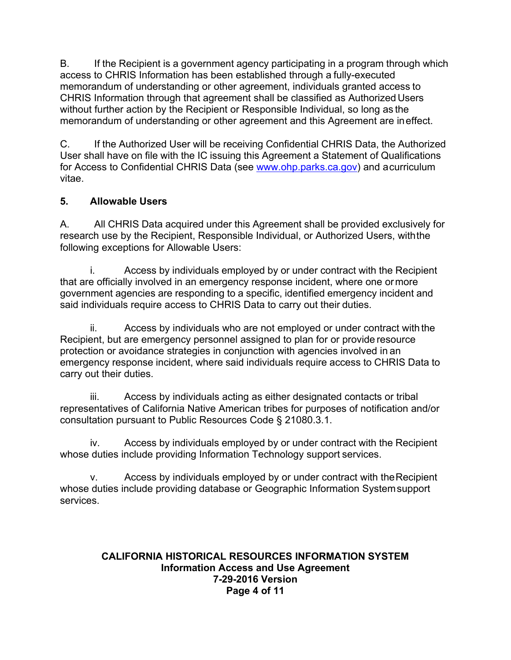B. If the Recipient is a government agency participating in a program through which access to CHRIS Information has been established through a fully-executed memorandum of understanding or other agreement, individuals granted access to CHRIS Information through that agreement shall be classified as Authorized Users without further action by the Recipient or Responsible Individual, so long as the memorandum of understanding or other agreement and this Agreement are ineffect.

C. If the Authorized User will be receiving Confidential CHRIS Data, the Authorized User shall have on file with the IC issuing this Agreement a Statement of Qualifications for Access to Confidential CHRIS Data (see www.ohp.parks.ca.gov) and a curriculum vitae.

## **5. Allowable Users**

A. All CHRIS Data acquired under this Agreement shall be provided exclusively for research use by the Recipient, Responsible Individual, or Authorized Users, with the following exceptions for Allowable Users:

i. Access by individuals employed by or under contract with the Recipient that are officially involved in an emergency response incident, where one or more government agencies are responding to a specific, identified emergency incident and said individuals require access to CHRIS Data to carry out their duties.

ii. Access by individuals who are not employed or under contract with the Recipient, but are emergency personnel assigned to plan for or provide resource protection or avoidance strategies in conjunction with agencies involved in an emergency response incident, where said individuals require access to CHRIS Data to carry out their duties.

iii. Access by individuals acting as either designated contacts or tribal representatives of California Native American tribes for purposes of notification and/or consultation pursuant to Public Resources Code § 21080.3.1.

iv. Access by individuals employed by or under contract with the Recipient whose duties include providing Information Technology support services.

v. Access by individuals employed by or under contract with the Recipient whose duties include providing database or Geographic Information System support services.

#### **CALIFORNIA HISTORICAL RESOURCES INFORMATION SYSTEM Information Access and Use Agreement 7-29-2016 Version Page 4 of 11**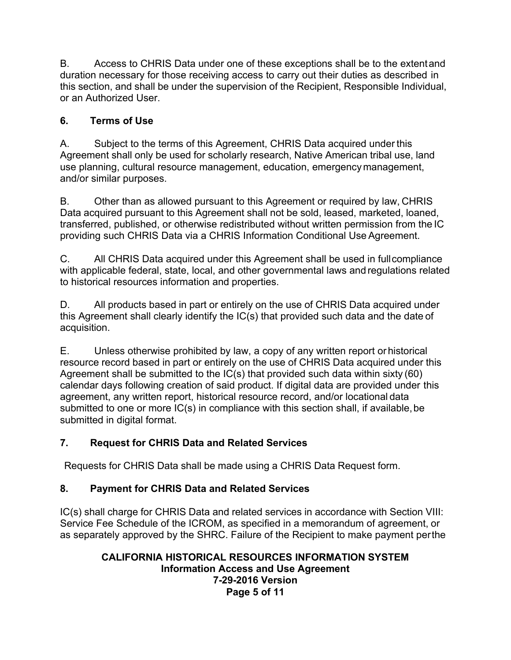B. Access to CHRIS Data under one of these exceptions shall be to the extent and duration necessary for those receiving access to carry out their duties as described in this section, and shall be under the supervision of the Recipient, Responsible Individual, or an Authorized User.

## **6. Terms of Use**

A. Subject to the terms of this Agreement, CHRIS Data acquired under this Agreement shall only be used for scholarly research, Native American tribal use, land use planning, cultural resource management, education, emergency management, and/or similar purposes.

B. Other than as allowed pursuant to this Agreement or required by law, CHRIS Data acquired pursuant to this Agreement shall not be sold, leased, marketed, loaned, transferred, published, or otherwise redistributed without written permission from the IC providing such CHRIS Data via a CHRIS Information Conditional Use Agreement.

C. All CHRIS Data acquired under this Agreement shall be used in full compliance with applicable federal, state, local, and other governmental laws and regulations related to historical resources information and properties.

D. All products based in part or entirely on the use of CHRIS Data acquired under this Agreement shall clearly identify the IC(s) that provided such data and the date of acquisition.

E. Unless otherwise prohibited by law, a copy of any written report or historical resource record based in part or entirely on the use of CHRIS Data acquired under this Agreement shall be submitted to the  $IC(s)$  that provided such data within sixty (60) calendar days following creation of said product. If digital data are provided under this agreement, any written report, historical resource record, and/or locational data submitted to one or more IC(s) in compliance with this section shall, if available, be submitted in digital format.

## **7. Request for CHRIS Data and Related Services**

Requests for CHRIS Data shall be made using a CHRIS Data Request form.

## **8. Payment for CHRIS Data and Related Services**

IC(s) shall charge for CHRIS Data and related services in accordance with Section VIII: Service Fee Schedule of the ICROM, as specified in a memorandum of agreement, or as separately approved by the SHRC. Failure of the Recipient to make payment per the

## **CALIFORNIA HISTORICAL RESOURCES INFORMATION SYSTEM Information Access and Use Agreement 7-29-2016 Version Page 5 of 11**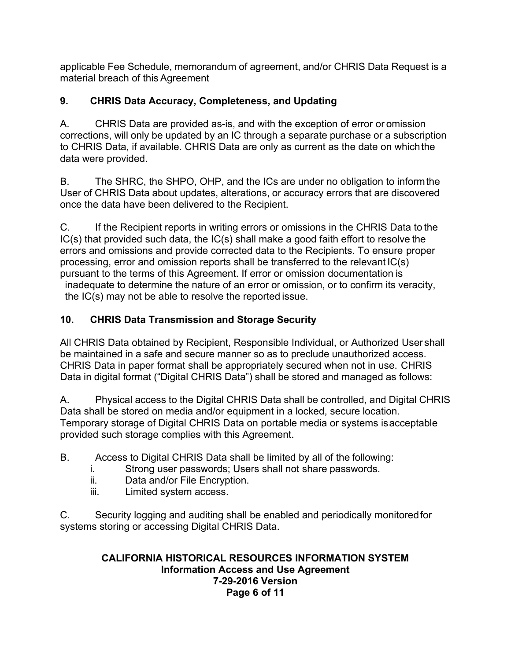applicable Fee Schedule, memorandum of agreement, and/or CHRIS Data Request is a material breach of this Agreement

## **9. CHRIS Data Accuracy, Completeness, and Updating**

A. CHRIS Data are provided as-is, and with the exception of error or omission corrections, will only be updated by an IC through a separate purchase or a subscription to CHRIS Data, if available. CHRIS Data are only as current as the date on which the data were provided.

B. The SHRC, the SHPO, OHP, and the ICs are under no obligation to inform the User of CHRIS Data about updates, alterations, or accuracy errors that are discovered once the data have been delivered to the Recipient.

C. If the Recipient reports in writing errors or omissions in the CHRIS Data to the IC(s) that provided such data, the IC(s) shall make a good faith effort to resolve the errors and omissions and provide corrected data to the Recipients. To ensure proper processing, error and omission reports shall be transferred to the relevant IC(s) pursuant to the terms of this Agreement. If error or omission documentation is inadequate to determine the nature of an error or omission, or to confirm its veracity,

the IC(s) may not be able to resolve the reported issue.

# **10. CHRIS Data Transmission and Storage Security**

All CHRIS Data obtained by Recipient, Responsible Individual, or Authorized User shall be maintained in a safe and secure manner so as to preclude unauthorized access. CHRIS Data in paper format shall be appropriately secured when not in use. CHRIS Data in digital format ("Digital CHRIS Data") shall be stored and managed as follows:

A. Physical access to the Digital CHRIS Data shall be controlled, and Digital CHRIS Data shall be stored on media and/or equipment in a locked, secure location. Temporary storage of Digital CHRIS Data on portable media or systems is acceptable provided such storage complies with this Agreement.

- B. Access to Digital CHRIS Data shall be limited by all of the following:
	- i. Strong user passwords; Users shall not share passwords.
	- ii. Data and/or File Encryption.
	- iii. Limited system access.

C. Security logging and auditing shall be enabled and periodically monitored for systems storing or accessing Digital CHRIS Data.

## **CALIFORNIA HISTORICAL RESOURCES INFORMATION SYSTEM Information Access and Use Agreement 7-29-2016 Version Page 6 of 11**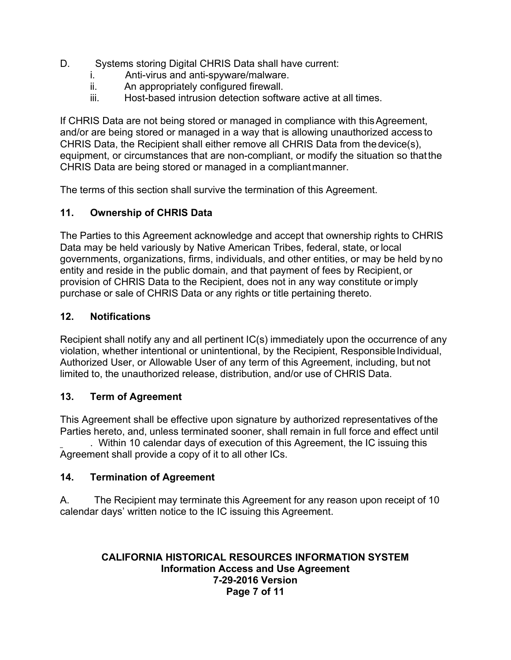- D. Systems storing Digital CHRIS Data shall have current:
	- i. Anti-virus and anti-spyware/malware.
	- ii. An appropriately configured firewall.
	- iii. Host-based intrusion detection software active at all times.

If CHRIS Data are not being stored or managed in compliance with this Agreement, and/or are being stored or managed in a way that is allowing unauthorized access to CHRIS Data, the Recipient shall either remove all CHRIS Data from the device(s), equipment, or circumstances that are non-compliant, or modify the situation so that the CHRIS Data are being stored or managed in a compliant manner.

The terms of this section shall survive the termination of this Agreement.

## **11. Ownership of CHRIS Data**

The Parties to this Agreement acknowledge and accept that ownership rights to CHRIS Data may be held variously by Native American Tribes, federal, state, or local governments, organizations, firms, individuals, and other entities, or may be held by no entity and reside in the public domain, and that payment of fees by Recipient, or provision of CHRIS Data to the Recipient, does not in any way constitute or imply purchase or sale of CHRIS Data or any rights or title pertaining thereto.

## **12. Notifications**

Recipient shall notify any and all pertinent IC(s) immediately upon the occurrence of any violation, whether intentional or unintentional, by the Recipient, Responsible Individual, Authorized User, or Allowable User of any term of this Agreement, including, but not limited to, the unauthorized release, distribution, and/or use of CHRIS Data.

## **13. Term of Agreement**

This Agreement shall be effective upon signature by authorized representatives of the Parties hereto, and, unless terminated sooner, shall remain in full force and effect until

. Within 10 calendar days of execution of this Agreement, the IC issuing this Agreement shall provide a copy of it to all other ICs.

## **14. Termination of Agreement**

A. The Recipient may terminate this Agreement for any reason upon receipt of 10 calendar days' written notice to the IC issuing this Agreement.

### **CALIFORNIA HISTORICAL RESOURCES INFORMATION SYSTEM Information Access and Use Agreement 7-29-2016 Version Page 7 of 11**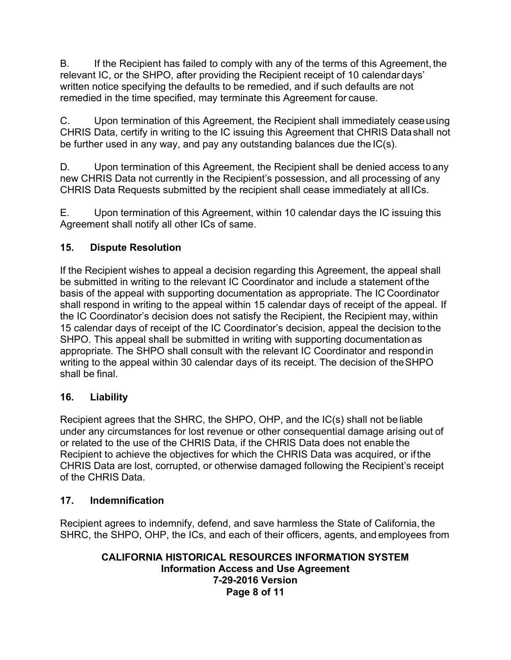B. If the Recipient has failed to comply with any of the terms of this Agreement, the relevant IC, or the SHPO, after providing the Recipient receipt of 10 calendar days' written notice specifying the defaults to be remedied, and if such defaults are not remedied in the time specified, may terminate this Agreement for cause.

C. Upon termination of this Agreement, the Recipient shall immediately cease using CHRIS Data, certify in writing to the IC issuing this Agreement that CHRIS Data shall not be further used in any way, and pay any outstanding balances due the IC(s).

D. Upon termination of this Agreement, the Recipient shall be denied access to any new CHRIS Data not currently in the Recipient's possession, and all processing of any CHRIS Data Requests submitted by the recipient shall cease immediately at all ICs.

E. Upon termination of this Agreement, within 10 calendar days the IC issuing this Agreement shall notify all other ICs of same.

## **15. Dispute Resolution**

If the Recipient wishes to appeal a decision regarding this Agreement, the appeal shall be submitted in writing to the relevant IC Coordinator and include a statement of the basis of the appeal with supporting documentation as appropriate. The IC Coordinator shall respond in writing to the appeal within 15 calendar days of receipt of the appeal. If the IC Coordinator's decision does not satisfy the Recipient, the Recipient may, within 15 calendar days of receipt of the IC Coordinator's decision, appeal the decision to the SHPO. This appeal shall be submitted in writing with supporting documentation as appropriate. The SHPO shall consult with the relevant IC Coordinator and respond in writing to the appeal within 30 calendar days of its receipt. The decision of the SHPO shall be final.

## **16. Liability**

Recipient agrees that the SHRC, the SHPO, OHP, and the IC(s) shall not be liable under any circumstances for lost revenue or other consequential damage arising out of or related to the use of the CHRIS Data, if the CHRIS Data does not enable the Recipient to achieve the objectives for which the CHRIS Data was acquired, or if the CHRIS Data are lost, corrupted, or otherwise damaged following the Recipient's receipt of the CHRIS Data.

## **17. Indemnification**

Recipient agrees to indemnify, defend, and save harmless the State of California, the SHRC, the SHPO, OHP, the ICs, and each of their officers, agents, and employees from

#### **CALIFORNIA HISTORICAL RESOURCES INFORMATION SYSTEM Information Access and Use Agreement 7-29-2016 Version Page 8 of 11**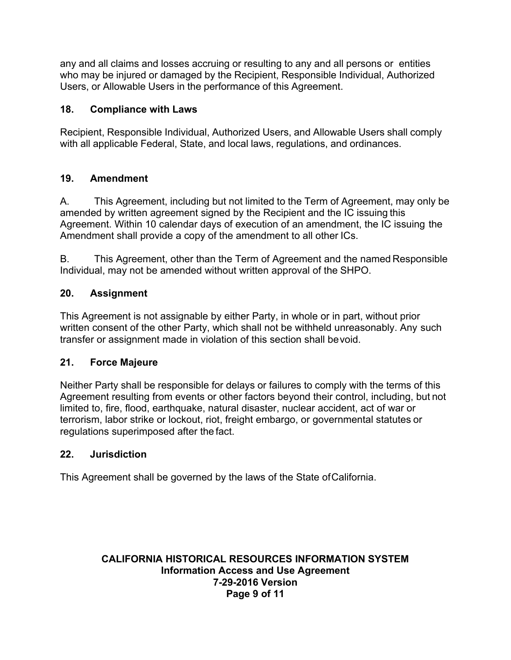any and all claims and losses accruing or resulting to any and all persons or entities who may be injured or damaged by the Recipient, Responsible Individual, Authorized Users, or Allowable Users in the performance of this Agreement.

## **18. Compliance with Laws**

Recipient, Responsible Individual, Authorized Users, and Allowable Users shall comply with all applicable Federal, State, and local laws, regulations, and ordinances.

### **19. Amendment**

A. This Agreement, including but not limited to the Term of Agreement, may only be amended by written agreement signed by the Recipient and the IC issuing this Agreement. Within 10 calendar days of execution of an amendment, the IC issuing the Amendment shall provide a copy of the amendment to all other ICs.

B. This Agreement, other than the Term of Agreement and the named Responsible Individual, may not be amended without written approval of the SHPO.

### **20. Assignment**

This Agreement is not assignable by either Party, in whole or in part, without prior written consent of the other Party, which shall not be withheld unreasonably. Any such transfer or assignment made in violation of this section shall be void.

#### **21. Force Majeure**

Neither Party shall be responsible for delays or failures to comply with the terms of this Agreement resulting from events or other factors beyond their control, including, but not limited to, fire, flood, earthquake, natural disaster, nuclear accident, act of war or terrorism, labor strike or lockout, riot, freight embargo, or governmental statutes or regulations superimposed after the fact.

#### **22. Jurisdiction**

This Agreement shall be governed by the laws of the State of California.

#### **CALIFORNIA HISTORICAL RESOURCES INFORMATION SYSTEM Information Access and Use Agreement 7-29-2016 Version Page 9 of 11**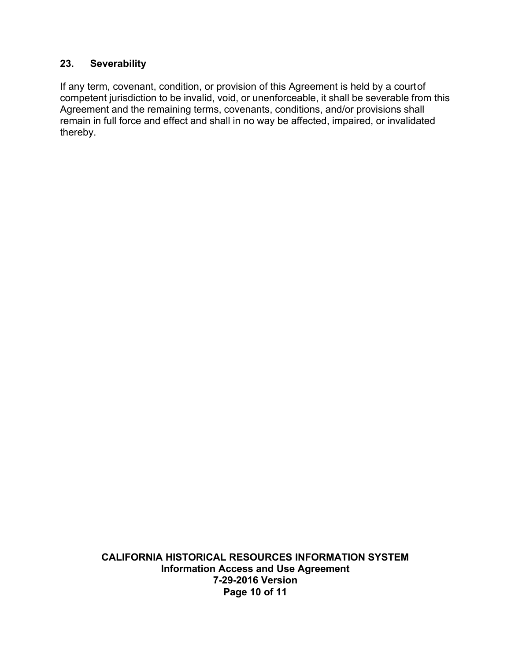#### **23. Severability**

If any term, covenant, condition, or provision of this Agreement is held by a court of competent jurisdiction to be invalid, void, or unenforceable, it shall be severable from this Agreement and the remaining terms, covenants, conditions, and/or provisions shall remain in full force and effect and shall in no way be affected, impaired, or invalidated thereby.

> **CALIFORNIA HISTORICAL RESOURCES INFORMATION SYSTEM Information Access and Use Agreement 7-29-2016 Version Page 10 of 11**